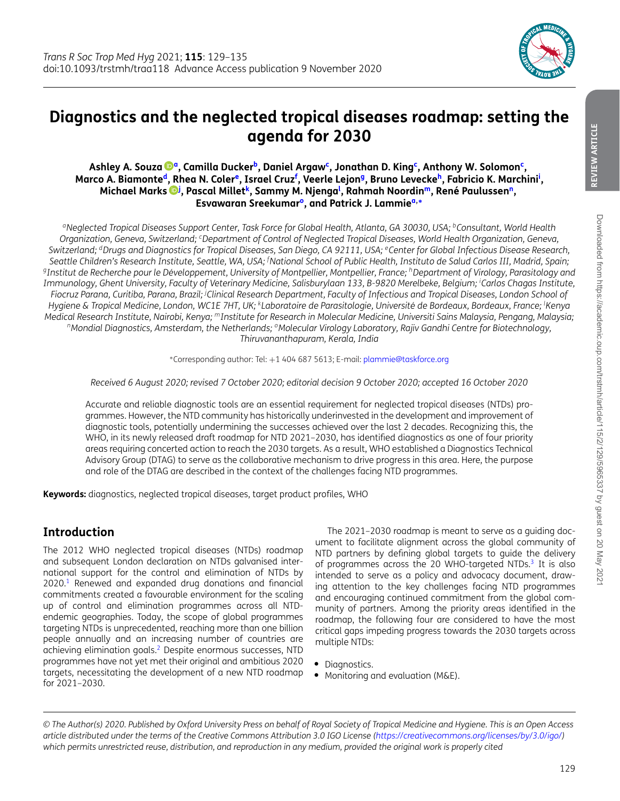<span id="page-0-11"></span><span id="page-0-8"></span><span id="page-0-1"></span>

# **Diagnostics and the neglected tropical diseases roadmap: setting the agenda for 2030**

**Ashley A. Souza [a,](#page-0-0) Camilla Ducke[rb,](#page-0-1) Daniel Arga[wc,](#page-0-2) Jonathan D. Kin[gc,](#page-0-2) Anthony W. Solomo[nc,](#page-0-2) Marco A. Biamonte[d,](#page-0-3) Rhea N. Cole[re,](#page-0-4) Israel Cru[zf](#page-0-5) , Veerle Lejon[g,](#page-0-6) Bruno Leveck[eh,](#page-0-7) Fabricio K. Marchin[ii](#page-0-8) , Michael Marks [j](#page-0-9) , Pascal Mille[tk,](#page-0-10) Sammy M. Njeng[al](#page-0-11) , Rahmah Noordin[m,](#page-0-12) René Paulusse[nn,](#page-0-13) Esvawaran Sreekuma[ro,](#page-0-14) and Patrick J. Lammi[ea,](#page-0-0)[∗](#page-0-15)**

<span id="page-0-6"></span><span id="page-0-3"></span><span id="page-0-0"></span>*aNeglected Tropical Diseases Support Center, Task Force for Global Health, Atlanta, GA 30030, USA; bConsultant, World Health Organization, Geneva, Switzerland; cDepartment of Control of Neglected Tropical Diseases, World Health Organization, Geneva, Switzerland; dDrugs and Diagnostics for Tropical Diseases, San Diego, CA 92111, USA; eCenter for Global Infectious Disease Research, Seattle Children's Research Institute, Seattle, WA, USA; <sup>f</sup> National School of Public Health, Instituto de Salud Carlos III, Madrid, Spain; gInstitut de Recherche pour le Développement, University of Montpellier, Montpellier, France; hDepartment of Virology, Parasitology and Immunology, Ghent University, Faculty of Veterinary Medicine, Salisburylaan 133, B-9820 Merelbeke, Belgium; <sup>i</sup> Carlos Chagas Institute, Fiocruz Parana, Curitiba, Parana, Brazil; <sup>j</sup> Clinical Research Department, Faculty of Infectious and Tropical Diseases, London School of Hygiene & Tropical Medicine, London, WC1E 7HT, UK; kLaboratoire de Parasitologie, Université de Bordeaux, Bordeaux, France; <sup>l</sup> Kenya Medical Research Institute, Nairobi, Kenya; mInstitute for Research in Molecular Medicine, Universiti Sains Malaysia, Pengang, Malaysia; nMondial Diagnostics, Amsterdam, the Netherlands; oMolecular Virology Laboratory, Rajiv Gandhi Centre for Biotechnology, Thiruvananthapuram, Kerala, India*

<span id="page-0-15"></span><span id="page-0-14"></span><span id="page-0-12"></span><span id="page-0-10"></span><span id="page-0-9"></span><span id="page-0-7"></span><span id="page-0-5"></span><span id="page-0-4"></span><span id="page-0-2"></span><sup>∗</sup>Corresponding author: Tel: +1 404 687 5613; E-mail: [plammie@taskforce.org](mailto:plammie@taskforce.org)

<span id="page-0-13"></span>*Received 6 August 2020; revised 7 October 2020; editorial decision 9 October 2020; accepted 16 October 2020*

Accurate and reliable diagnostic tools are an essential requirement for neglected tropical diseases (NTDs) programmes. However, the NTD community has historically underinvested in the development and improvement of diagnostic tools, potentially undermining the successes achieved over the last 2 decades. Recognizing this, the WHO, in its newly released draft roadmap for NTD 2021–2030, has identified diagnostics as one of four priority areas requiring concerted action to reach the 2030 targets. As a result, WHO established a Diagnostics Technical Advisory Group (DTAG) to serve as the collaborative mechanism to drive progress in this area. Here, the purpose and role of the DTAG are described in the context of the challenges facing NTD programmes.

**Keywords:** diagnostics, neglected tropical diseases, target product profiles, WHO

#### **Introduction**

The 2012 WHO neglected tropical diseases (NTDs) roadmap and subsequent London declaration on NTDs galvanised international support for the control and elimination of NTDs by  $2020$ .<sup>1</sup> Renewed and expanded drug donations and financial commitments created a favourable environment for the scaling up of control and elimination programmes across all NTDendemic geographies. Today, the scope of global programmes targeting NTDs is unprecedented, reaching more than one billion people annually and an increasing number of countries are achieving elimination goals.[2](#page-5-1) Despite enormous successes, NTD programmes have not yet met their original and ambitious 2020 targets, necessitating the development of a new NTD roadmap for 2021–2030.

The 2021–2030 roadmap is meant to serve as a guiding document to facilitate alignment across the global community of NTD partners by defining global targets to guide the delivery of programmes across the 20 WHO-targeted NTDs.<sup>3</sup> It is also intended to serve as a policy and advocacy document, drawing attention to the key challenges facing NTD programmes and encouraging continued commitment from the global community of partners. Among the priority areas identified in the roadmap, the following four are considered to have the most critical gaps impeding progress towards the 2030 targets across multiple NTDs:

- Diagnostics.
- Diagnostics.<br>• Monitoring and evaluation (M&E).

*<sup>©</sup> The Author(s) 2020. Published by Oxford University Press on behalf of Royal Society of Tropical Medicine and Hygiene. This is an Open Access article distributed under the terms of the Creative Commons Attribution 3.0 IGO License [\(https://creativecommons.org/licenses/by/3.0/igo/\)](https://creativecommons.org/licenses/by/3.0/igo/) which permits unrestricted reuse, distribution, and reproduction in any medium, provided the original work is properly cited*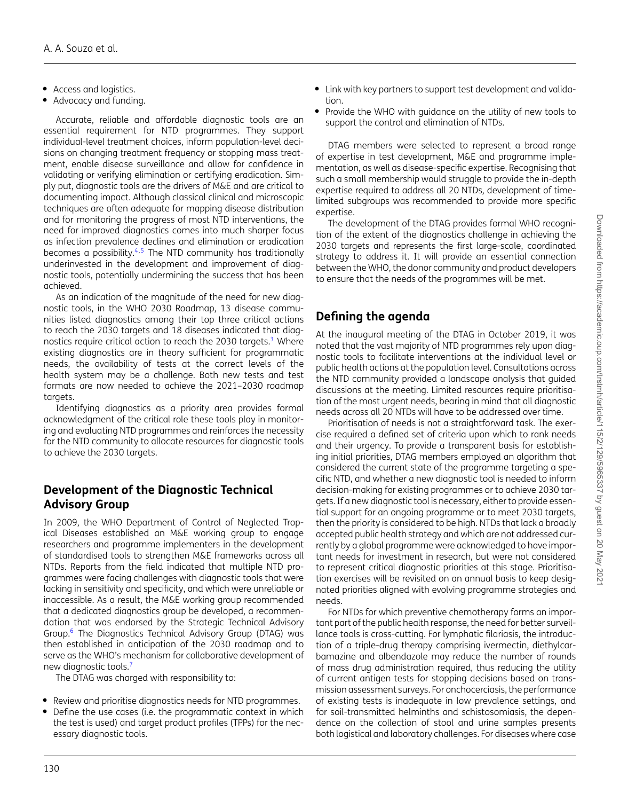- Access and logistics.
- Access and logistics. Advocacy and funding.

Accurate, reliable and affordable diagnostic tools are an essential requirement for NTD programmes. They support individual-level treatment choices, inform population-level decisions on changing treatment frequency or stopping mass treatment, enable disease surveillance and allow for confidence in validating or verifying elimination or certifying eradication. Simply put, diagnostic tools are the drivers of M&E and are critical to documenting impact. Although classical clinical and microscopic techniques are often adequate for mapping disease distribution and for monitoring the progress of most NTD interventions, the need for improved diagnostics comes into much sharper focus as infection prevalence declines and elimination or eradication becomes a possibility. $4,5$  $4,5$  The NTD community has traditionally underinvested in the development and improvement of diagnostic tools, potentially undermining the success that has been achieved.

As an indication of the magnitude of the need for new diagnostic tools, in the WHO 2030 Roadmap, 13 disease communities listed diagnostics among their top three critical actions to reach the 2030 targets and 18 diseases indicated that diag-nostics require critical action to reach the 20[3](#page-5-2)0 targets.<sup>3</sup> Where existing diagnostics are in theory sufficient for programmatic needs, the availability of tests at the correct levels of the health system may be a challenge. Both new tests and test formats are now needed to achieve the 2021–2030 roadmap targets.

Identifying diagnostics as a priority area provides formal acknowledgment of the critical role these tools play in monitoring and evaluating NTD programmes and reinforces the necessity for the NTD community to allocate resources for diagnostic tools to achieve the 2030 targets.

## **Development of the Diagnostic Technical Advisory Group**

In 2009, the WHO Department of Control of Neglected Tropical Diseases established an M&E working group to engage researchers and programme implementers in the development of standardised tools to strengthen M&E frameworks across all NTDs. Reports from the field indicated that multiple NTD programmes were facing challenges with diagnostic tools that were lacking in sensitivity and specificity, and which were unreliable or inaccessible. As a result, the M&E working group recommended that a dedicated diagnostics group be developed, a recommendation that was endorsed by the Strategic Technical Advisory Group[.6](#page-5-5) The Diagnostics Technical Advisory Group (DTAG) was then established in anticipation of the 2030 roadmap and to serve as the WHO's mechanism for collaborative development of new diagnostic tools.<sup>[7](#page-5-6)</sup>

The DTAG was charged with responsibility to:

- Review and prioritise diagnostics needs for NTD programmes.
- Review and prioritise diagnostics needs for NTD programmes. Define the use cases (i.e. the programmatic context in which the test is used) and target product profiles (TPPs) for the necessary diagnostic tools.
- Link with key partners to support test development and valida-
- tion. Provide the WHO with guidance on the utility of new tools to support the control and elimination of NTDs.

DTAG members were selected to represent a broad range of expertise in test development, M&E and programme implementation, as well as disease-specific expertise. Recognising that such a small membership would struggle to provide the in-depth expertise required to address all 20 NTDs, development of timelimited subgroups was recommended to provide more specific expertise.

The development of the DTAG provides formal WHO recognition of the extent of the diagnostics challenge in achieving the 2030 targets and represents the first large-scale, coordinated strategy to address it. It will provide an essential connection between the WHO, the donor community and product developers to ensure that the needs of the programmes will be met.

## **Defining the agenda**

At the inaugural meeting of the DTAG in October 2019, it was noted that the vast majority of NTD programmes rely upon diagnostic tools to facilitate interventions at the individual level or public health actions at the population level. Consultations across the NTD community provided a landscape analysis that guided discussions at the meeting. Limited resources require prioritisation of the most urgent needs, bearing in mind that all diagnostic needs across all 20 NTDs will have to be addressed over time.

Prioritisation of needs is not a straightforward task. The exercise required a defined set of criteria upon which to rank needs and their urgency. To provide a transparent basis for establishing initial priorities, DTAG members employed an algorithm that considered the current state of the programme targeting a specific NTD, and whether a new diagnostic tool is needed to inform decision-making for existing programmes or to achieve 2030 targets. If a new diagnostic tool is necessary, either to provide essential support for an ongoing programme or to meet 2030 targets, then the priority is considered to be high. NTDs that lack a broadly accepted public health strategy and which are not addressed currently by a global programme were acknowledged to have important needs for investment in research, but were not considered to represent critical diagnostic priorities at this stage. Prioritisation exercises will be revisited on an annual basis to keep designated priorities aligned with evolving programme strategies and needs.

For NTDs for which preventive chemotherapy forms an important part of the public health response, the need for better surveillance tools is cross-cutting. For lymphatic filariasis, the introduction of a triple-drug therapy comprising ivermectin, diethylcarbamazine and albendazole may reduce the number of rounds of mass drug administration required, thus reducing the utility of current antigen tests for stopping decisions based on transmission assessment surveys. For onchocerciasis, the performance of existing tests is inadequate in low prevalence settings, and for soil-transmitted helminths and schistosomiasis, the dependence on the collection of stool and urine samples presents both logistical and laboratory challenges. For diseases where case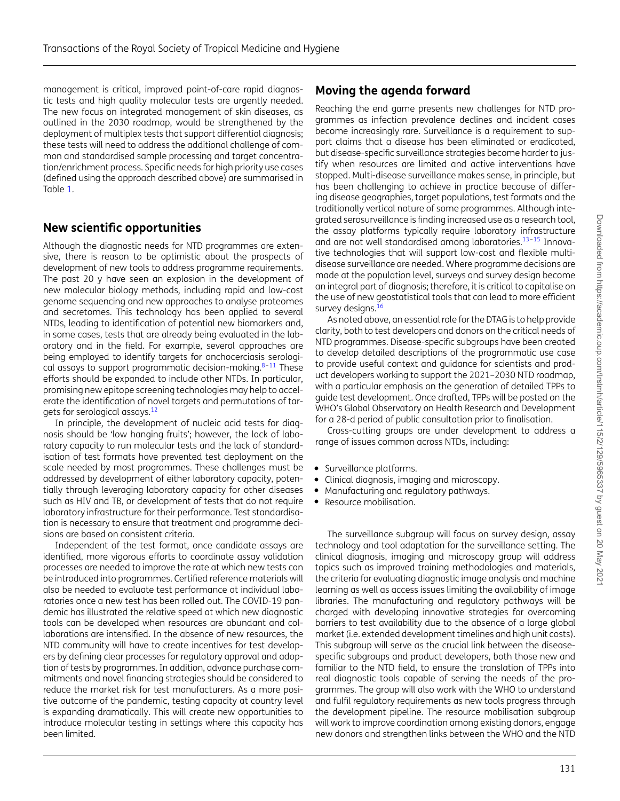management is critical, improved point-of-care rapid diagnostic tests and high quality molecular tests are urgently needed. The new focus on integrated management of skin diseases, as outlined in the 2030 roadmap, would be strengthened by the deployment of multiplex tests that support differential diagnosis; these tests will need to address the additional challenge of common and standardised sample processing and target concentration/enrichment process. Specific needs for high priority use cases (defined using the approach described above) are summarised in Table [1.](#page-3-0)

### **New scientific opportunities**

Although the diagnostic needs for NTD programmes are extensive, there is reason to be optimistic about the prospects of development of new tools to address programme requirements. The past 20 y have seen an explosion in the development of new molecular biology methods, including rapid and low-cost genome sequencing and new approaches to analyse proteomes and secretomes. This technology has been applied to several NTDs, leading to identification of potential new biomarkers and, in some cases, tests that are already being evaluated in the laboratory and in the field. For example, several approaches are being employed to identify targets for onchocerciasis serologi-cal assays to support programmatic decision-making.<sup>8-[11](#page-5-8)</sup> These efforts should be expanded to include other NTDs. In particular, promising new epitope screening technologies may help to accelerate the identification of novel targets and permutations of targets for serological assays[.12](#page-5-9)

In principle, the development of nucleic acid tests for diagnosis should be 'low hanging fruits'; however, the lack of laboratory capacity to run molecular tests and the lack of standardisation of test formats have prevented test deployment on the scale needed by most programmes. These challenges must be addressed by development of either laboratory capacity, potentially through leveraging laboratory capacity for other diseases such as HIV and TB, or development of tests that do not require laboratory infrastructure for their performance. Test standardisation is necessary to ensure that treatment and programme decisions are based on consistent criteria.

Independent of the test format, once candidate assays are identified, more vigorous efforts to coordinate assay validation processes are needed to improve the rate at which new tests can be introduced into programmes. Certified reference materials will also be needed to evaluate test performance at individual laboratories once a new test has been rolled out. The COVID-19 pandemic has illustrated the relative speed at which new diagnostic tools can be developed when resources are abundant and collaborations are intensified. In the absence of new resources, the NTD community will have to create incentives for test developers by defining clear processes for regulatory approval and adoption of tests by programmes. In addition, advance purchase commitments and novel financing strategies should be considered to reduce the market risk for test manufacturers. As a more positive outcome of the pandemic, testing capacity at country level is expanding dramatically. This will create new opportunities to introduce molecular testing in settings where this capacity has been limited.

## **Moving the agenda forward**

Reaching the end game presents new challenges for NTD programmes as infection prevalence declines and incident cases become increasingly rare. Surveillance is a requirement to support claims that a disease has been eliminated or eradicated, but disease-specific surveillance strategies become harder to justify when resources are limited and active interventions have stopped. Multi-disease surveillance makes sense, in principle, but has been challenging to achieve in practice because of differing disease geographies, target populations, test formats and the traditionally vertical nature of some programmes. Although integrated serosurveillance is finding increased use as a research tool, the assay platforms typically require laboratory infrastructure and are not well standardised among laboratories.<sup>13-[15](#page-5-11)</sup> Innovative technologies that will support low-cost and flexible multidisease surveillance are needed. Where programme decisions are made at the population level, surveys and survey design become an integral part of diagnosis; therefore, it is critical to capitalise on the use of new geostatistical tools that can lead to more efficient survey designs.<sup>16</sup>

As noted above, an essential role for the DTAG is to help provide clarity, both to test developers and donors on the critical needs of NTD programmes. Disease-specific subgroups have been created to develop detailed descriptions of the programmatic use case to provide useful context and guidance for scientists and product developers working to support the 2021–2030 NTD roadmap, with a particular emphasis on the generation of detailed TPPs to guide test development. Once drafted, TPPs will be posted on the WHO's Global Observatory on Health Research and Development for a 28-d period of public consultation prior to finalisation.

Cross-cutting groups are under development to address a range of issues common across NTDs, including:

- -
- Surveillance platforms.<br>• Clinical diagnosis, imaging and microscopy.
- Clinical diagnosis, imaging and microscopy. -Manufacturing and regulatory pathways. -
- Resource mobilisation.

The surveillance subgroup will focus on survey design, assay technology and tool adaptation for the surveillance setting. The clinical diagnosis, imaging and microscopy group will address topics such as improved training methodologies and materials, the criteria for evaluating diagnostic image analysis and machine learning as well as access issues limiting the availability of image libraries. The manufacturing and regulatory pathways will be charged with developing innovative strategies for overcoming barriers to test availability due to the absence of a large global market (i.e. extended development timelines and high unit costs). This subgroup will serve as the crucial link between the diseasespecific subgroups and product developers, both those new and familiar to the NTD field, to ensure the translation of TPPs into real diagnostic tools capable of serving the needs of the programmes. The group will also work with the WHO to understand and fulfil regulatory requirements as new tools progress through the development pipeline. The resource mobilisation subgroup will work to improve coordination among existing donors, engage new donors and strengthen links between the WHO and the NTD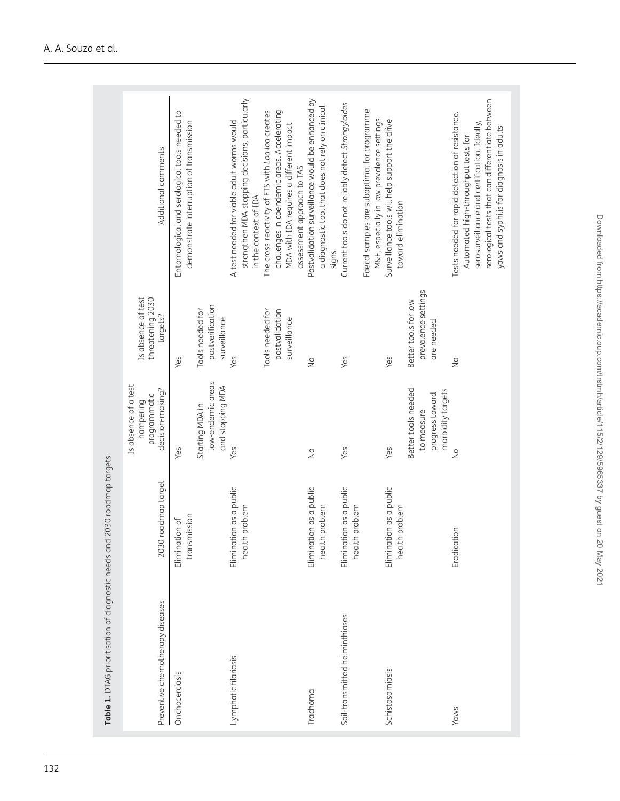<span id="page-3-0"></span>

| Preventive chemotherapy diseases | 2030 roadmap target                       | Is absence of a test<br>decision-making?<br>programmatic<br>hampering     | Is absence of test<br>threatening 2030<br>targets?        | Additional comments                                                                                                                                                                                                                     |
|----------------------------------|-------------------------------------------|---------------------------------------------------------------------------|-----------------------------------------------------------|-----------------------------------------------------------------------------------------------------------------------------------------------------------------------------------------------------------------------------------------|
| Onchocerciasis                   | transmission<br>Elimination of            | Yes                                                                       | Yes                                                       | Entomological and serological tools needed to<br>demonstrate interruption of transmission                                                                                                                                               |
|                                  |                                           | low-endemic areas<br>and stopping MDA<br>Starting MDA in                  | postverification<br>Tools needed for<br>surveillance      |                                                                                                                                                                                                                                         |
| Lymphatic filariasis             | Elimination as a public<br>health problem | Yes                                                                       | Yes                                                       | strengthen MDA stopping decisions, particularly<br>A test needed for viable adult worms would<br>in the context of IDA                                                                                                                  |
|                                  |                                           |                                                                           | Tools needed for<br>postvalidation<br>surveillance        | The cross-reactivity of FTS with Loa loa creates<br>challenges in coendemic areas. Accelerating<br>MDA with IDA requires a different impact<br>assessment approach to TAS                                                               |
| Trachoma                         | Elimination as a public<br>health problem | $\frac{1}{2}$                                                             | $\frac{1}{2}$                                             | Postvalidation surveillance would be enhanced by<br>a diagnostic tool that does not rely on clinical<br>signs                                                                                                                           |
| Soil-transmitted helminthiases   | Elimination as a public<br>health problem | Yes                                                                       | Yes                                                       | Current tools do not reliably detect Strongyloides                                                                                                                                                                                      |
|                                  |                                           |                                                                           |                                                           | Faecal samples are suboptimal for programme<br>M&E, especially in low prevalence settings                                                                                                                                               |
| Schistosomiasis                  | Elimination as a public<br>health problem | Yes                                                                       | Yes                                                       | Surveillance tools will help support the drive<br>toward elimination                                                                                                                                                                    |
|                                  |                                           | Better tools needed<br>morbidity targets<br>progress toward<br>to measure | prevalence settings<br>Better tools for low<br>are needed |                                                                                                                                                                                                                                         |
| Yaws                             | Eradication                               | $\frac{1}{2}$                                                             | $\frac{1}{2}$                                             | serological tests that can differentiate between<br>Tests needed for rapid detection of resistance.<br>serosurveillance and certification. Ideally,<br>yaws and syphilis for diagnosis in adults<br>Automated high-throughput tests for |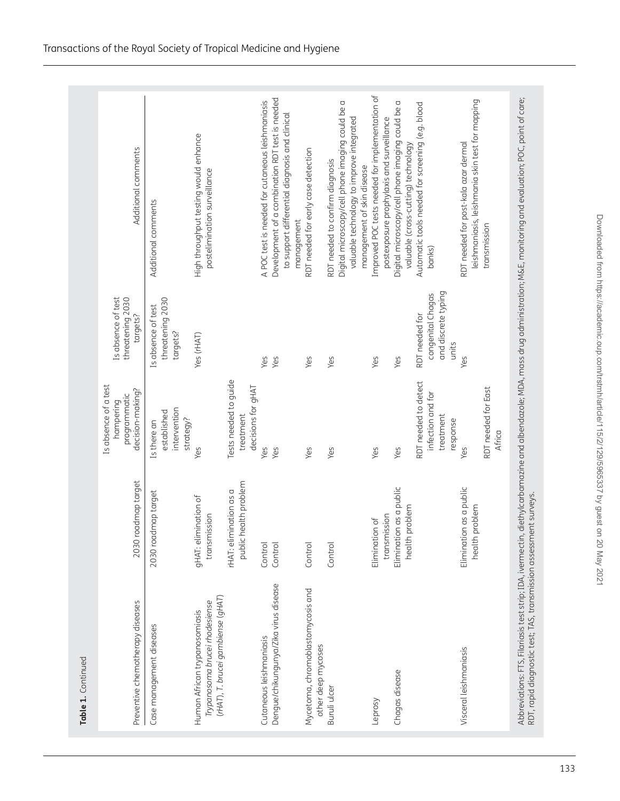| Preventive chemotherapy diseases                                                                      | 2030 roadmap target                                       | Is absence of a test<br>decision-making?<br>programmatic<br>hampering | Is absence of test<br>threatening 2030<br>targets?                  | Additional comments                                                                                                                                                 |
|-------------------------------------------------------------------------------------------------------|-----------------------------------------------------------|-----------------------------------------------------------------------|---------------------------------------------------------------------|---------------------------------------------------------------------------------------------------------------------------------------------------------------------|
| Case management diseases                                                                              | 2030 roadmap target                                       | intervention<br>established<br>strategy?<br>Is there an               | threatening 2030<br>Is absence of test<br>targets?                  | Additional comments                                                                                                                                                 |
| (rHAT), T. brucei gambiense (gHAT)<br>Trypanosoma brucei rhodesiense<br>Human African trypanosomiasis | gHAT: elimination of<br>transmission                      | Yes                                                                   | Yes (rHAT)                                                          | High throughput testing would enhance<br>postelimination surveillance                                                                                               |
|                                                                                                       | public health problem<br>rHAT: elimination as a           | Tests needed to guide<br>decisions for gHAT<br>treatment              |                                                                     |                                                                                                                                                                     |
| Dengue/chikungunya/Zika virus disease<br>Cutaneous leishmaniasis                                      | Control<br>Control                                        | Yes<br>Yes                                                            | Yes<br>Yes                                                          | Development of a combination RDT test is needed<br>A POC test is needed for cutaneous leishmaniasis<br>to support differential diagnosis and clinical<br>management |
| Mycetoma, chromoblastomycosis and<br>other deep mycoses                                               | Control                                                   | Yes                                                                   | Yes                                                                 | RDT needed for early case detection                                                                                                                                 |
| Buruli ulcer                                                                                          | Control                                                   | Yes                                                                   | Yes                                                                 | Digital microscopy/cell phone imaging could be a<br>valuable technology to improve integrated<br>RDT needed to confirm diagnosis<br>management of skin disease      |
| Leprosy                                                                                               | transmission<br>Elimination of                            | Yes                                                                   | Yes                                                                 | Improved POC tests needed for implementation of<br>postexposure prophylaxis and surveillance                                                                        |
| Chagas disease                                                                                        | Elimination as a public<br>problem<br>health <sub>1</sub> | Yes                                                                   | Yes                                                                 | Digital microscopy/cell phone imaging could be a<br>valuable (cross-cutting) technology                                                                             |
|                                                                                                       |                                                           | RDT needed to detect<br>infection and for<br>treatment<br>response    | and discrete typing<br>congenital Chagas<br>RDT needed for<br>units | Automatic tools needed for screening (e.g. blood<br>banks)                                                                                                          |
| Visceral leishmaniasis                                                                                | Elimination as a public<br>problem<br>health              | RDT needed for East<br>Yes                                            | Yes                                                                 | leishmaniasis, leishmania skin test for mapping<br>RDT needed for post-kala azar dermal<br>transmission                                                             |
|                                                                                                       |                                                           | Africa                                                                |                                                                     |                                                                                                                                                                     |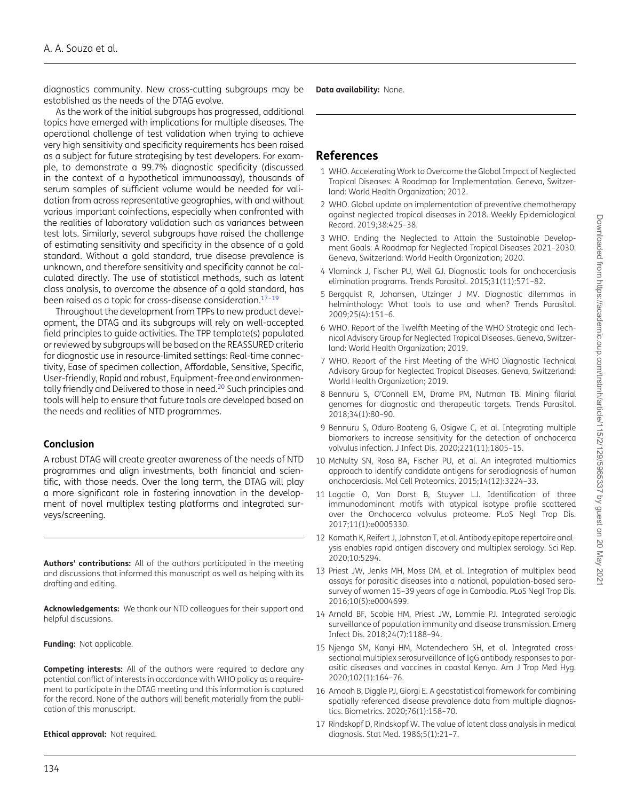diagnostics community. New cross-cutting subgroups may be established as the needs of the DTAG evolve.

As the work of the initial subgroups has progressed, additional topics have emerged with implications for multiple diseases. The operational challenge of test validation when trying to achieve very high sensitivity and specificity requirements has been raised as a subject for future strategising by test developers. For example, to demonstrate a 99.7% diagnostic specificity (discussed in the context of a hypothetical immunoassay), thousands of serum samples of sufficient volume would be needed for validation from across representative geographies, with and without various important coinfections, especially when confronted with the realities of laboratory validation such as variances between test lots. Similarly, several subgroups have raised the challenge of estimating sensitivity and specificity in the absence of a gold standard. Without a gold standard, true disease prevalence is unknown, and therefore sensitivity and specificity cannot be calculated directly. The use of statistical methods, such as latent class analysis, to overcome the absence of a gold standard, has been raised as a topic for cross-disease consideration[.17–](#page-5-13)[19](#page-6-0)

Throughout the development from TPPs to new product development, the DTAG and its subgroups will rely on well-accepted field principles to guide activities. The TPP template(s) populated or reviewed by subgroups will be based on the REASSURED criteria for diagnostic use in resource-limited settings: Real-time connectivity, Ease of specimen collection, Affordable, Sensitive, Specific, User-friendly, Rapid and robust, Equipment-free and environmentally friendly and Delivered to those in need.<sup>20</sup> Such principles and tools will help to ensure that future tools are developed based on the needs and realities of NTD programmes.

#### **Conclusion**

A robust DTAG will create greater awareness of the needs of NTD programmes and align investments, both financial and scientific, with those needs. Over the long term, the DTAG will play a more significant role in fostering innovation in the development of novel multiplex testing platforms and integrated surveys/screening.

**Authors' contributions:** All of the authors participated in the meeting and discussions that informed this manuscript as well as helping with its drafting and editing.

**Acknowledgements:** We thank our NTD colleagues for their support and helpful discussions.

**Funding:** Not applicable.

**Competing interests:** All of the authors were required to declare any potential conflict of interests in accordance with WHO policy as a requirement to participate in the DTAG meeting and this information is captured for the record. None of the authors will benefit materially from the publication of this manuscript.

**Ethical approval:** Not required.

**Data availability:** None.

#### **References**

- <span id="page-5-0"></span>1 WHO. Accelerating Work to Overcome the Global Impact of Neglected Tropical Diseases: A Roadmap for Implementation. Geneva, Switzerland: World Health Organization; 2012.
- <span id="page-5-1"></span>2 WHO. Global update on implementation of preventive chemotherapy against neglected tropical diseases in 2018. Weekly Epidemiological Record. 2019;38:425–38.
- <span id="page-5-2"></span>3 WHO. Ending the Neglected to Attain the Sustainable Development Goals: A Roadmap for Neglected Tropical Diseases 2021–2030. Geneva, Switzerland: World Health Organization; 2020.
- <span id="page-5-3"></span>4 Vlaminck J, Fischer PU, Weil GJ. Diagnostic tools for onchocerciasis elimination programs. Trends Parasitol. 2015;31(11):571–82.
- <span id="page-5-4"></span>5 Bergquist R, Johansen, Utzinger J MV. Diagnostic dilemmas in helminthology: What tools to use and when? Trends Parasitol. 2009;25(4):151–6.
- <span id="page-5-5"></span>6 WHO. Report of the Twelfth Meeting of the WHO Strategic and Technical Advisory Group for Neglected Tropical Diseases. Geneva, Switzerland: World Health Organization; 2019.
- <span id="page-5-6"></span>7 WHO. Report of the First Meeting of the WHO Diagnostic Technical Advisory Group for Neglected Tropical Diseases. Geneva, Switzerland: World Health Organization; 2019.
- <span id="page-5-7"></span>8 Bennuru S, O'Connell EM, Drame PM, Nutman TB. Mining filarial genomes for diagnostic and therapeutic targets. Trends Parasitol. 2018;34(1):80–90.
- 9 Bennuru S, Oduro-Boateng G, Osigwe C, et al. Integrating multiple biomarkers to increase sensitivity for the detection of onchocerca volvulus infection. J Infect Dis. 2020;221(11):1805–15.
- 10 McNulty SN, Rosa BA, Fischer PU, et al. An integrated multiomics approach to identify candidate antigens for serodiagnosis of human onchocerciasis. Mol Cell Proteomics. 2015;14(12):3224–33.
- <span id="page-5-8"></span>11 Lagatie O, Van Dorst B, Stuyver LJ. Identification of three immunodominant motifs with atypical isotype profile scattered over the Onchocerca volvulus proteome. PLoS Negl Trop Dis. 2017;11(1):e0005330.
- <span id="page-5-9"></span>12 Kamath K, Reifert J, Johnston T, et al. Antibody epitope repertoire analysis enables rapid antigen discovery and multiplex serology. Sci Rep. 2020;10:5294.
- <span id="page-5-10"></span>13 Priest JW, Jenks MH, Moss DM, et al. Integration of multiplex bead assays for parasitic diseases into a national, population-based serosurvey of women 15–39 years of age in Cambodia. PLoS Negl Trop Dis. 2016;10(5):e0004699.
- 14 Arnold BF, Scobie HM, Priest JW, Lammie PJ. Integrated serologic surveillance of population immunity and disease transmission. Emerg Infect Dis. 2018;24(7):1188–94.
- <span id="page-5-11"></span>15 Njenga SM, Kanyi HM, Matendechero SH, et al. Integrated crosssectional multiplex serosurveillance of IgG antibody responses to parasitic diseases and vaccines in coastal Kenya. Am J Trop Med Hyg. 2020;102(1):164–76.
- <span id="page-5-12"></span>16 Amoah B, Diggle PJ, Giorgi E. A geostatistical framework for combining spatially referenced disease prevalence data from multiple diagnostics. Biometrics. 2020;76(1):158–70.
- <span id="page-5-13"></span>17 Rindskopf D, Rindskopf W. The value of latent class analysis in medical diagnosis. Stat Med. 1986;5(1):21–7.